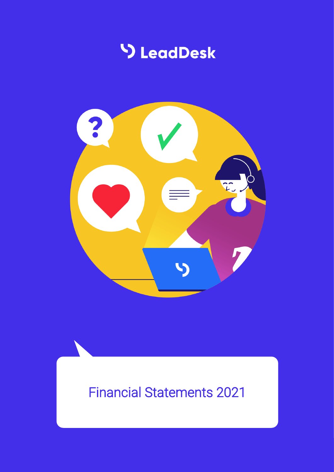



# Financial Statements 2021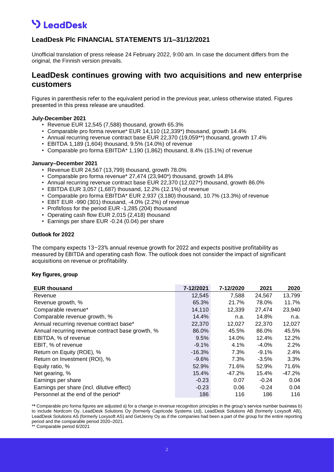# **V** LeadDesk

### **LeadDesk Plc FINANCIAL STATEMENTS 1/1–31/12/2021**

Unofficial translation of press release 24 February 2022, 9:00 am. In case the document differs from the original, the Finnish version prevails.

### **LeadDesk continues growing with two acquisitions and new enterprise customers**

Figures in parenthesis refer to the equivalent period in the previous year, unless otherwise stated. Figures presented in this press release are unaudited.

#### **July-December 2021**

- Revenue EUR 12,545 (7,588) thousand, growth 65.3%
- Comparable pro forma revenue\* EUR 14,110 (12,339\*) thousand, growth 14.4%
- Annual recurring revenue contract base EUR 22,370 (19,059\*\*) thousand, growth 17.4%
- EBITDA 1,189 (1,604) thousand, 9.5% (14.0%) of revenue
- Comparable pro forma EBITDA\* 1,190 (1,862) thousand, 8.4% (15.1%) of revenue

#### **January–December 2021**

- Revenue EUR 24,567 (13,799) thousand, growth 78.0%
- Comparable pro forma revenue\* 27,474 (23,940\*) thousand, growth 14.8%
- Annual recurring revenue contract base EUR 22,370 (12,027\*) thousand, growth 86.0%
- EBITDA EUR 3,057 (1,687) thousand, 12.2% (12.1%) of revenue
- Comparable pro forma EBITDA\* EUR 2,937 (3,180) thousand, 10.7% (13.3%) of revenue
- EBIT EUR -990 (301) thousand, -4.0% (2.2%) of revenue
- Profit/loss for the period EUR -1,285 (204) thousand
- Operating cash flow EUR 2,015 (2,418) thousand
- Earnings per share EUR -0.24 (0.04) per share

#### **Outlook for 2022**

The company expects 13–23% annual revenue growth for 2022 and expects positive profitability as measured by EBITDA and operating cash flow. The outlook does not consider the impact of significant acquisitions on revenue or profitability.

#### **Key figures, group**

| <b>EUR thousand</b>                              | 7-12/2021 | 7-12/2020 | 2021     | 2020     |
|--------------------------------------------------|-----------|-----------|----------|----------|
| Revenue                                          | 12,545    | 7,588     | 24,567   | 13,799   |
| Revenue growth, %                                | 65.3%     | 21.7%     | 78.0%    | 11.7%    |
| Comparable revenue*                              | 14,110    | 12,339    | 27,474   | 23,940   |
| Comparable revenue growth, %                     | 14.4%     | n.a.      | 14.8%    | n.a.     |
| Annual recurring revenue contract base*          | 22,370    | 12,027    | 22,370   | 12,027   |
| Annual recurring revenue contract base growth, % | 86.0%     | 45.5%     | 86.0%    | 45.5%    |
| EBITDA, % of revenue                             | 9.5%      | 14.0%     | 12.4%    | 12.2%    |
| EBIT, % of revenue                               | $-9.1%$   | 4.1%      | $-4.0\%$ | 2.2%     |
| Return on Equity (ROE), %                        | $-16.3%$  | 7.3%      | $-9.1\%$ | 2.4%     |
| Return on Investment (ROI), %                    | $-9.6%$   | 7.3%      | $-3.5%$  | 3.3%     |
| Equity ratio, %                                  | 52.9%     | 71.6%     | 52.9%    | 71.6%    |
| Net gearing, %                                   | 15.4%     | $-47.2%$  | 15.4%    | $-47.2%$ |
| Earnings per share                               | $-0.23$   | 0.07      | $-0.24$  | 0.04     |
| Earnings per share (incl. dilutive effect)       | $-0.23$   | 0.06      | $-0.24$  | 0.04     |
| Personnel at the end of the period*              | 186       | 116       | 186      | 116      |

\***\*** Comparable pro forma figures are adjusted a) for a change in revenue recognition principles in the group's service number business b) to include Nordcom Oy, LeadDesk Solutions Oy (formerly Capricode Systems Ltd), LeadDesk Solutions AB (formerly Loxysoft AB), LeadDesk Solutions AS (formerly Loxysoft AS) and GetJenny Oy as if the companies had been a part of the group for the entire reporting period and the comparable period 2020–2021.

Comparable period 6/2021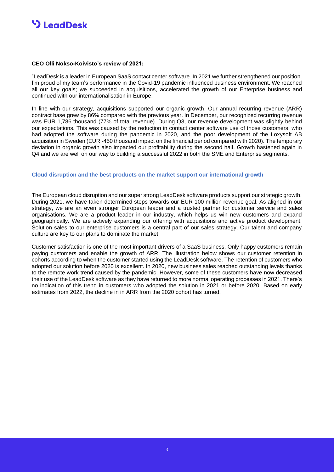### **S** LeadDesk

#### **CEO Olli Nokso-Koivisto's review of 2021:**

"LeadDesk is a leader in European SaaS contact center software. In 2021 we further strengthened our position. I'm proud of my team's performance in the Covid-19 pandemic influenced business environment. We reached all our key goals; we succeeded in acquisitions, accelerated the growth of our Enterprise business and continued with our internationalisation in Europe.

In line with our strategy, acquisitions supported our organic growth. Our annual recurring revenue (ARR) contract base grew by 86% compared with the previous year. In December, our recognized recurring revenue was EUR 1,786 thousand (77% of total revenue). During Q3, our revenue development was slightly behind our expectations. This was caused by the reduction in contact center software use of those customers, who had adopted the software during the pandemic in 2020, and the poor development of the Loxysoft AB acquisition in Sweden (EUR -450 thousand impact on the financial period compared with 2020). The temporary deviation in organic growth also impacted our profitability during the second half. Growth hastened again in Q4 and we are well on our way to building a successful 2022 in both the SME and Enterprise segments.

#### **Cloud disruption and the best products on the market support our international growth**

The European cloud disruption and our super strong LeadDesk software products support our strategic growth. During 2021, we have taken determined steps towards our EUR 100 million revenue goal. As aligned in our strategy, we are an even stronger European leader and a trusted partner for customer service and sales organisations. We are a product leader in our industry, which helps us win new customers and expand geographically. We are actively expanding our offering with acquisitions and active product development. Solution sales to our enterprise customers is a central part of our sales strategy. Our talent and company culture are key to our plans to dominate the market.

Customer satisfaction is one of the most important drivers of a SaaS business. Only happy customers remain paying customers and enable the growth of ARR. The illustration below shows our customer retention in cohorts according to when the customer started using the LeadDesk software. The retention of customers who adopted our solution before 2020 is excellent. In 2020, new business sales reached outstanding levels thanks to the remote work trend caused by the pandemic. However, some of these customers have now decreased their use of the LeadDesk software as they have returned to more normal operating processes in 2021. There's no indication of this trend in customers who adopted the solution in 2021 or before 2020. Based on early estimates from 2022, the decline in in ARR from the 2020 cohort has turned.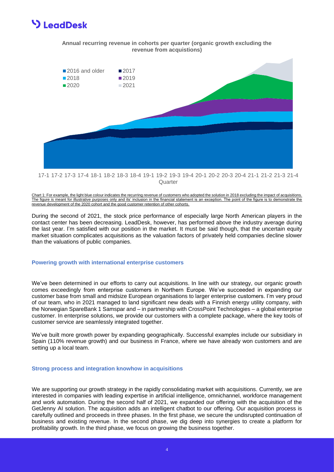### **S** LeadDesk





Chart 1: For example, the light blue colour indicates the recurring revenue of customers who adopted the solution in 2018 excluding the impact of acquisitions. The figure is meant for illustrative purposes only and its' inclusion in the financial statement is an exception. The point of the figure is to demonstrate the revenue development of the 2020 cohort and the good customer retention of other cohorts.

During the second of 2021, the stock price performance of especially large North American players in the contact center has been decreasing. LeadDesk, however, has performed above the industry average during the last year. I'm satisfied with our position in the market. It must be said though, that the uncertain equity market situation complicates acquisitions as the valuation factors of privately held companies decline slower than the valuations of public companies.

#### **Powering growth with international enterprise customers**

We've been determined in our efforts to carry out acquisitions. In line with our strategy, our organic growth comes exceedingly from enterprise customers in Northern Europe. We've succeeded in expanding our customer base from small and midsize European organisations to larger enterprise customers. I'm very proud of our team, who in 2021 managed to land significant new deals with a Finnish energy utility company, with the Norwegian SpareBank 1 Samspar and – in partnership with CrossPoint Technologies – a global enterprise customer. In enterprise solutions, we provide our customers with a complete package, where the key tools of customer service are seamlessly integrated together.

We've built more growth power by expanding geographically. Successful examples include our subsidiary in Spain (110% revenue growth) and our business in France, where we have already won customers and are setting up a local team.

#### **Strong process and integration knowhow in acquisitions**

We are supporting our growth strategy in the rapidly consolidating market with acquisitions. Currently, we are interested in companies with leading expertise in artificial intelligence, omnichannel, workforce management and work automation. During the second half of 2021, we expanded our offering with the acquisition of the GetJenny AI solution. The acquisition adds an intelligent chatbot to our offering. Our acquisition process is carefully outlined and proceeds in three phases. In the first phase, we secure the undisrupted continuation of business and existing revenue. In the second phase, we dig deep into synergies to create a platform for profitability growth. In the third phase, we focus on growing the business together.